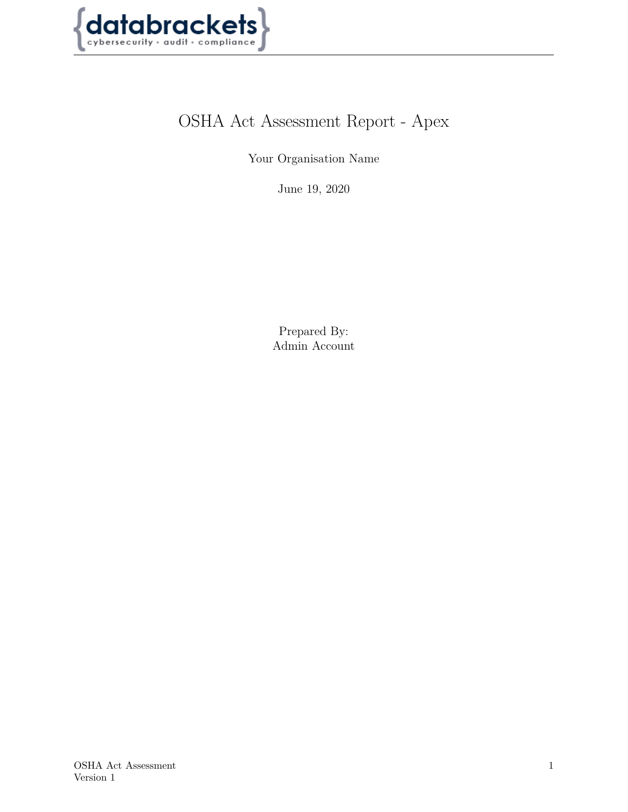

# OSHA Act Assessment Report - Apex

Your Organisation Name

June 19, 2020

Prepared By: Admin Account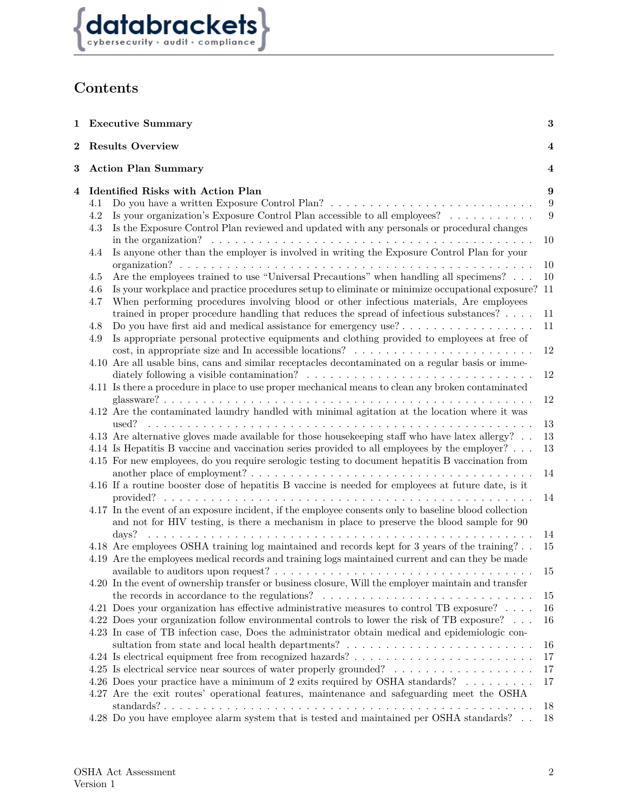

# **Contents**

|   |            | 1 Executive Summary                                                                                                                                                                                                           | $\bf{3}$     |
|---|------------|-------------------------------------------------------------------------------------------------------------------------------------------------------------------------------------------------------------------------------|--------------|
| 2 |            | <b>Results Overview</b>                                                                                                                                                                                                       | 4            |
| 3 |            | <b>Action Plan Summary</b>                                                                                                                                                                                                    | 4            |
| 4 | 4.1        | Identified Risks with Action Plan                                                                                                                                                                                             | 9<br>$9\,$   |
|   | 4.2<br>4.3 | Is your organization's Exposure Control Plan accessible to all employees?<br>Is the Exposure Control Plan reviewed and updated with any personals or procedural changes                                                       | $9\,$        |
|   | 4.4        | in the organization?<br>Is anyone other than the employer is involved in writing the Exposure Control Plan for your                                                                                                           | 10           |
|   | 4.5        | Are the employees trained to use "Universal Precautions" when handling all specimens?                                                                                                                                         | 10<br>10     |
|   | 4.6<br>4.7 | Is your workplace and practice procedures setup to eliminate or minimize occupational exposure?<br>When performing procedures involving blood or other infectious materials, Are employees                                    | -11          |
|   | 4.8        | trained in proper procedure handling that reduces the spread of infectious substances? $\dots$                                                                                                                                | 11<br>11     |
|   | 4.9        | Is appropriate personal protective equipments and clothing provided to employees at free of                                                                                                                                   | $12\,$       |
|   |            | 4.10 Are all usable bins, cans and similar receptacles decontaminated on a regular basis or imme-                                                                                                                             | 12           |
|   |            | 4.11 Is there a procedure in place to use proper mechanical means to clean any broken contaminated                                                                                                                            | $12\,$       |
|   |            | 4.12 Are the contaminated laundry handled with minimal agitation at the location where it was<br>used?                                                                                                                        | 13           |
|   |            | 4.13 Are alternative gloves made available for those housekeeping staff who have latex allergy?                                                                                                                               | 13           |
|   |            | 4.14 Is Hepatitis B vaccine and vaccination series provided to all employees by the employer?<br>4.15 For new employees, do you require serologic testing to document hepatitis B vaccination from                            | $13\,$<br>14 |
|   |            | 4.16 If a routine booster dose of hepatitis B vaccine is needed for employees at future date, is it                                                                                                                           | 14           |
|   |            | 4.17 In the event of an exposure incident, if the employee consents only to baseline blood collection<br>and not for HIV testing, is there a mechanism in place to preserve the blood sample for 90                           |              |
|   |            | days?                                                                                                                                                                                                                         | 14           |
|   |            | 4.18 Are employees OSHA training log maintained and records kept for 3 years of the training?<br>4.19 Are the employees medical records and training logs maintained current and can they be made                             | 15           |
|   |            | 4.20 In the event of ownership transfer or business closure, Will the employer maintain and transfer<br>the records in accordance to the regulations? $\ldots \ldots \ldots \ldots \ldots \ldots \ldots \ldots \ldots \ldots$ | 15           |
|   |            | 4.21 Does your organization has effective administrative measures to control TB exposure? $\ldots$ .                                                                                                                          | 15<br>16     |
|   |            | 4.22 Does your organization follow environmental controls to lower the risk of TB exposure?                                                                                                                                   | 16           |
|   |            | 4.23 In case of TB infection case, Does the administrator obtain medical and epidemiologic con-<br>sultation from state and local health departments? $\ldots \ldots \ldots \ldots \ldots \ldots \ldots \ldots$               | 16           |
|   |            |                                                                                                                                                                                                                               | 17           |
|   |            |                                                                                                                                                                                                                               | 17           |
|   |            | 4.26 Does your practice have a minimum of 2 exits required by OSHA standards?<br>4.27 Are the exit routes' operational features, maintenance and safeguarding meet the OSHA                                                   | 17           |
|   |            | 4.28 Do you have employee alarm system that is tested and maintained per OSHA standards?                                                                                                                                      | 18<br>18     |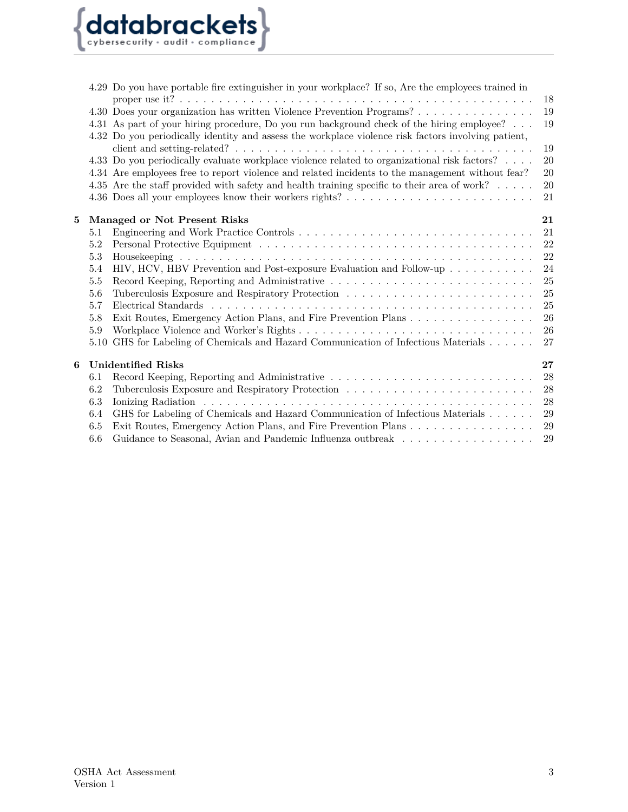

|   |      | 4.29 Do you have portable fire extinguisher in your workplace? If so, Are the employees trained in                                                                                                |        |
|---|------|---------------------------------------------------------------------------------------------------------------------------------------------------------------------------------------------------|--------|
|   |      |                                                                                                                                                                                                   | 18     |
|   |      | 4.30 Does your organization has written Violence Prevention Programs?                                                                                                                             | 19     |
|   |      | 4.31 As part of your hiring procedure, Do you run background check of the hiring employee?<br>4.32 Do you periodically identity and assess the workplace violence risk factors involving patient, | 19     |
|   |      |                                                                                                                                                                                                   | 19     |
|   |      | 4.33 Do you periodically evaluate workplace violence related to organizational risk factors?                                                                                                      | 20     |
|   |      | 4.34 Are employees free to report violence and related incidents to the management without fear?                                                                                                  | 20     |
|   |      | 4.35 Are the staff provided with safety and health training specific to their area of work?                                                                                                       | $20\,$ |
|   |      |                                                                                                                                                                                                   | 21     |
| 5 |      | Managed or Not Present Risks                                                                                                                                                                      | 21     |
|   | 5.1  |                                                                                                                                                                                                   | 21     |
|   | 5.2  |                                                                                                                                                                                                   | 22     |
|   | 5.3  |                                                                                                                                                                                                   | 22     |
|   | 5.4  | HIV, HCV, HBV Prevention and Post-exposure Evaluation and Follow-up                                                                                                                               | 24     |
|   | 5.5  |                                                                                                                                                                                                   | 25     |
|   | 5.6  |                                                                                                                                                                                                   | 25     |
|   | 5.7  |                                                                                                                                                                                                   | 25     |
|   | 5.8  | Exit Routes, Emergency Action Plans, and Fire Prevention Plans                                                                                                                                    | 26     |
|   | 5.9  |                                                                                                                                                                                                   | 26     |
|   | 5.10 | GHS for Labeling of Chemicals and Hazard Communication of Infectious Materials                                                                                                                    | 27     |
| 6 |      | <b>Unidentified Risks</b>                                                                                                                                                                         | 27     |
|   | 6.1  |                                                                                                                                                                                                   | 28     |
|   | 6.2  |                                                                                                                                                                                                   | 28     |
|   | 6.3  |                                                                                                                                                                                                   | 28     |
|   | 6.4  | GHS for Labeling of Chemicals and Hazard Communication of Infectious Materials                                                                                                                    | 29     |
|   | 6.5  | Exit Routes, Emergency Action Plans, and Fire Prevention Plans                                                                                                                                    | $\,29$ |
|   | 6.6  | Guidance to Seasonal, Avian and Pandemic Influenza outbreak                                                                                                                                       | 29     |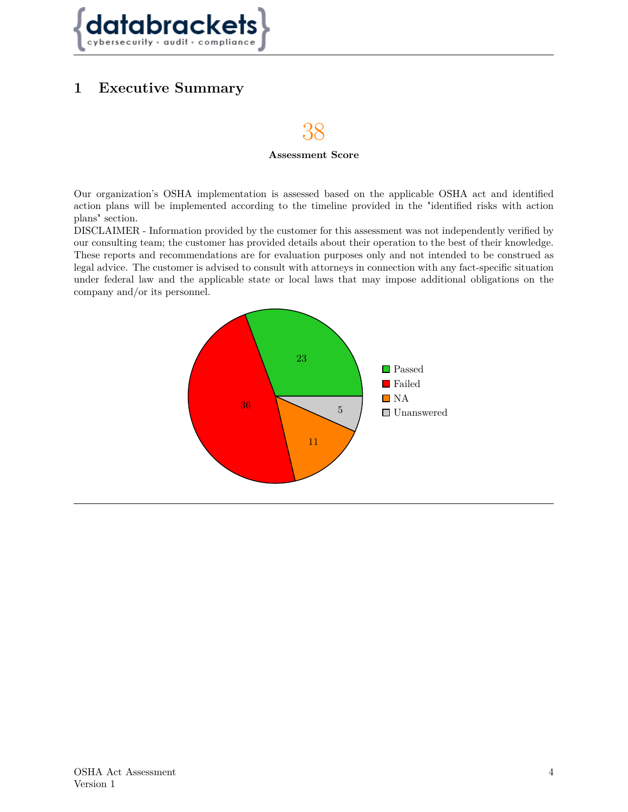

## <span id="page-3-0"></span>**1 Executive Summary**

# 38

#### **Assessment Score**

Our organization's OSHA implementation is assessed based on the applicable OSHA act and identified action plans will be implemented according to the timeline provided in the "identified risks with action plans" section.

DISCLAIMER - Information provided by the customer for this assessment was not independently verified by our consulting team; the customer has provided details about their operation to the best of their knowledge. These reports and recommendations are for evaluation purposes only and not intended to be construed as legal advice. The customer is advised to consult with attorneys in connection with any fact-specific situation under federal law and the applicable state or local laws that may impose additional obligations on the company and/or its personnel.

<span id="page-3-1"></span>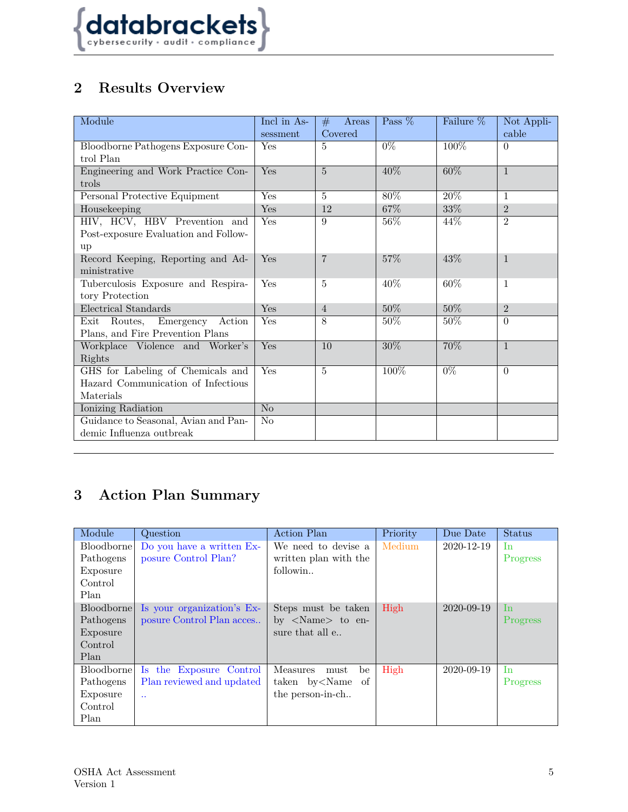

# **2 Results Overview**

| Module                               | Incl in As-    | Areas<br>#     | Pass % | Failure %        | Not Appli-                  |
|--------------------------------------|----------------|----------------|--------|------------------|-----------------------------|
|                                      | sessment       | Covered        |        |                  | cable                       |
| Bloodborne Pathogens Exposure Con-   | Yes            | 5              | $0\%$  | 100%             | $\Omega$                    |
| trol Plan                            |                |                |        |                  |                             |
| Engineering and Work Practice Con-   | Yes            | $\overline{5}$ | 40%    | $60\%$           | $\overline{1}$              |
| trols                                |                |                |        |                  |                             |
| Personal Protective Equipment        | Yes            | 5              | 80%    | 20%              | $\mathbf{1}$                |
| Housekeeping                         | Yes            | 12             | 67%    | $33\%$           | $\overline{2}$              |
| HIV, HCV, HBV Prevention and         | Yes            | 9              | 56%    | 44\%             | 2                           |
| Post-exposure Evaluation and Follow- |                |                |        |                  |                             |
| up                                   |                |                |        |                  |                             |
| Record Keeping, Reporting and Ad-    | Yes            | $\overline{7}$ | 57%    | 43%              | $\overline{1}$              |
| ministrative                         |                |                |        |                  |                             |
| Tuberculosis Exposure and Respira-   | Yes            | 5              | 40%    | 60%              | $\mathbf{1}$                |
| tory Protection                      |                |                |        |                  |                             |
| Electrical Standards                 | <b>Yes</b>     | $\overline{4}$ | $50\%$ | $50\%$           | $\mathcal{D}_{\mathcal{L}}$ |
| Exit Routes, Emergency<br>Action     | Yes            | 8              | 50%    | $50\%$           | $\Omega$                    |
| Plans, and Fire Prevention Plans     |                |                |        |                  |                             |
| Workplace Violence and Worker's      | Yes            | 10             | 30%    | 70%              | $\overline{1}$              |
| Rights                               |                |                |        |                  |                             |
| GHS for Labeling of Chemicals and    | Yes            | $\overline{5}$ | 100%   | $\overline{0\%}$ | $\Omega$                    |
| Hazard Communication of Infectious   |                |                |        |                  |                             |
| Materials                            |                |                |        |                  |                             |
| Ionizing Radiation                   | No             |                |        |                  |                             |
| Guidance to Seasonal, Avian and Pan- | N <sub>o</sub> |                |        |                  |                             |
| demic Influenza outbreak             |                |                |        |                  |                             |

# <span id="page-4-0"></span>**3 Action Plan Summary**

| Module            | Question                   | <b>Action Plan</b>                                                     | Priority | Due Date   | <b>Status</b> |
|-------------------|----------------------------|------------------------------------------------------------------------|----------|------------|---------------|
| Bloodborne        | Do you have a written Ex-  | We need to devise a                                                    | Medium   | 2020-12-19 | In            |
| Pathogens         | posure Control Plan?       | written plan with the                                                  |          |            | Progress      |
| Exposure          |                            | followin                                                               |          |            |               |
| Control           |                            |                                                                        |          |            |               |
| Plan              |                            |                                                                        |          |            |               |
| <b>Bloodborne</b> | Is your organization's Ex- | Steps must be taken                                                    | High     | 2020-09-19 | In            |
| Pathogens         | posure Control Plan acces  | by $\langle$ Name $\rangle$ to en-                                     |          |            | Progress      |
| Exposure          |                            | sure that all e                                                        |          |            |               |
| Control           |                            |                                                                        |          |            |               |
| Plan              |                            |                                                                        |          |            |               |
| Bloodborne        | Is the Exposure Control    | Measures<br>must<br>be                                                 | High     | 2020-09-19 | In            |
| Pathogens         | Plan reviewed and updated  | taken by <name of<="" td=""><td></td><td></td><td>Progress</td></name> |          |            | Progress      |
| Exposure          | $\ddot{\phantom{a}}$       | the person-in-ch                                                       |          |            |               |
| Control           |                            |                                                                        |          |            |               |
| Plan              |                            |                                                                        |          |            |               |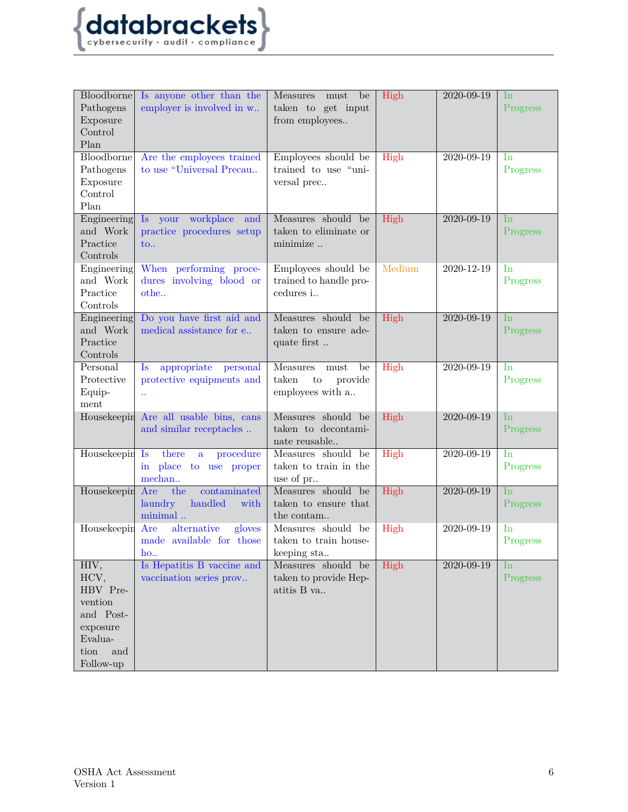

| Bloodborne<br>Pathogens<br>Exposure<br>Control<br>Plan                                              | Is anyone other than the<br>employer is involved in w                                         | <b>Measures</b><br>must<br>be<br>taken to get input<br>from employees        | High   | 2020-09-19       | $\ln$<br>Progress          |
|-----------------------------------------------------------------------------------------------------|-----------------------------------------------------------------------------------------------|------------------------------------------------------------------------------|--------|------------------|----------------------------|
| Bloodborne<br>Pathogens<br>Exposure<br>Control<br>Plan                                              | Are the employees trained<br>to use "Universal Precau                                         | Employees should be<br>trained to use "uni-<br>versal prec                   | High   | 2020-09-19       | In<br>Progress             |
| Engineering<br>and Work<br>Practice<br>Controls                                                     | your workplace and<br>$\mathbf{I}\mathbf{s}$<br>practice procedures setup<br>$\mathbf{to}$ .  | Measures should be<br>taken to eliminate or<br>minimize                      | High   | 2020-09-19       | $\ln$<br>Progress          |
| Engineering<br>and Work<br>Practice<br>Controls                                                     | When performing proce-<br>dures involving blood or<br>othe                                    | Employees should be<br>trained to handle pro-<br>cedures i                   | Medium | 2020-12-19       | In<br>Progress             |
| Engineering<br>and Work<br>Practice<br>Controls                                                     | Do you have first aid and<br>medical assistance for e                                         | Measures should be<br>taken to ensure ade-<br>quate first                    | High   | 2020-09-19       | In.<br>Progress            |
| Personal<br>Protective<br>Equip-<br>ment                                                            | appropriate<br>personal<br>$\mathbf{ls}$<br>protective equipments and<br>$\ddot{\phantom{a}}$ | ${\rm must}$<br>be<br>Measures<br>taken<br>provide<br>to<br>employees with a | High   | 2020-09-19       | I <sub>n</sub><br>Progress |
|                                                                                                     | Housekeepin Are all usable bins, cans<br>and similar receptacles                              | Measures should be<br>taken to decontami-<br>nate reusable                   | High   | 2020-09-19       | In.<br>Progress            |
| Housekeepin Is                                                                                      | procedure<br>there<br>a<br>in place<br>to use proper<br>mechan                                | Measures should be<br>taken to train in the<br>use of pr                     | High   | 2020-09-19       | In<br>Progress             |
| Housekeepin                                                                                         | Are<br>the<br>contaminated<br>handled<br>laundry<br>with<br>minimal                           | Measures should be<br>taken to ensure that<br>the contam                     | High   | $2020 - 09 - 19$ | In<br>Progress             |
| Housekeepin                                                                                         | Are<br>alternative<br>gloves<br>made available for those<br>$ho$                              | Measures should be<br>taken to train house-<br>keeping sta                   | High   | 2020-09-19       | In<br>Progress             |
| HIV,<br>HCV,<br>HBV Pre-<br>vention<br>and Post-<br>exposure<br>Evalua-<br>tion<br>and<br>Follow-up | Is Hepatitis B vaccine and<br>vaccination series prov                                         | Measures should be<br>taken to provide Hep-<br>atitis B va                   | High   | 2020-09-19       | <b>In</b><br>Progress      |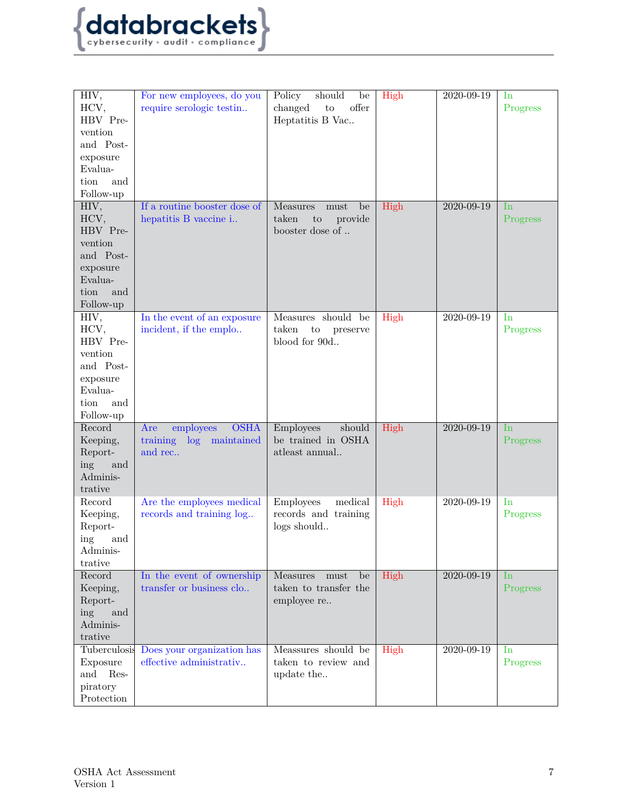

| HIV,<br>HCV,<br>HBV Pre-<br>vention<br>and Post-<br>exposure<br>Evalua-<br>tion<br>and<br>Follow-up | For new employees, do you<br>require serologic testin                 | should<br>Policy<br>be<br>offer<br>changed<br>to<br>Heptatitis B Vac | High | 2020-09-19 | In<br>Progress    |
|-----------------------------------------------------------------------------------------------------|-----------------------------------------------------------------------|----------------------------------------------------------------------|------|------------|-------------------|
| HIV,<br>HCV,<br>HBV Pre-<br>vention<br>and Post-<br>exposure<br>Evalua-<br>tion<br>and<br>Follow-up | If a routine booster dose of<br>hepatitis B vaccine i                 | Measures<br>must<br>be<br>taken<br>provide<br>to<br>booster dose of  | High | 2020-09-19 | In<br>Progress    |
| HIV,<br>HCV,<br>HBV Pre-<br>vention<br>and Post-<br>exposure<br>Evalua-<br>tion<br>and<br>Follow-up | In the event of an exposure<br>incident, if the emplo                 | Measures should be<br>taken<br>to<br>preserve<br>blood for 90d       | High | 2020-09-19 | $\ln$<br>Progress |
| Record<br>Keeping,<br>Report-<br>ing<br>and<br>Adminis-<br>trative                                  | <b>OSHA</b><br>employees<br>Are<br>training log maintained<br>and rec | should<br><b>Employees</b><br>be trained in OSHA<br>atleast annual   | High | 2020-09-19 | In<br>Progress    |
| Record<br>Keeping,<br>Report-<br>ing<br>and<br>Adminis-<br>trative                                  | Are the employees medical<br>records and training log                 | Employees<br>medical<br>records and training<br>logs should          | High | 2020-09-19 | $\ln$<br>Progress |
| Record<br>Keeping,<br>Report-<br>ing<br>and<br>Adminis-<br>trative                                  | In the event of ownership<br>transfer or business clo                 | Measures<br>must<br>be<br>taken to transfer the<br>employee re       | High | 2020-09-19 | $\ln$<br>Progress |
| Tuberculosis<br>Exposure<br>and<br>Res-<br>piratory<br>Protection                                   | Does your organization has<br>effective administrativ                 | Meassures should be<br>taken to review and<br>update the             | High | 2020-09-19 | In<br>Progress    |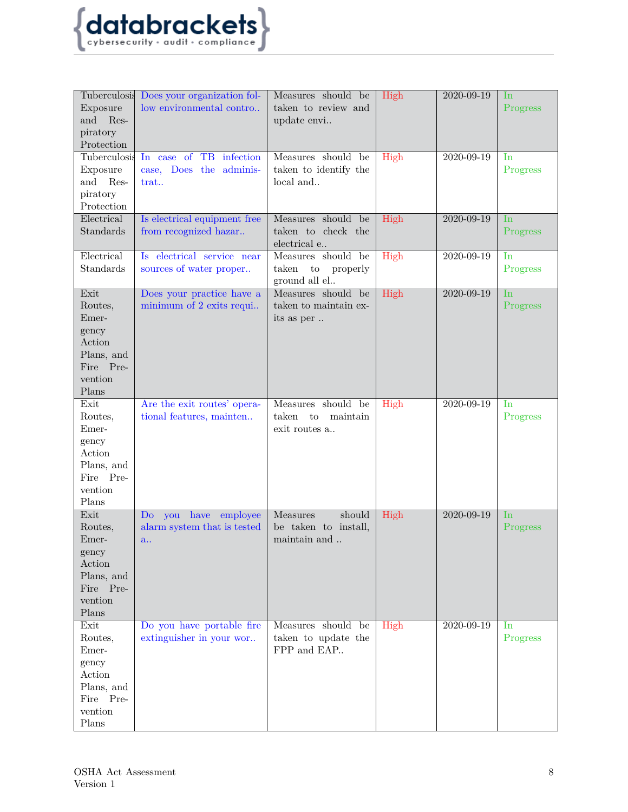

| Exposure<br>and Res-<br>piratory<br>Protection                                             | Tuberculosis Does your organization fol-<br>low environmental contro | Measures should be<br>taken to review and<br>update envi       | High | 2020-09-19       | In<br>Progress             |
|--------------------------------------------------------------------------------------------|----------------------------------------------------------------------|----------------------------------------------------------------|------|------------------|----------------------------|
| Tuberculosis<br>Exposure<br>and<br>Res-<br>piratory<br>Protection                          | In case of TB<br>infection<br>case, Does the adminis-<br>trat        | Measures should be<br>taken to identify the<br>local and       | High | 2020-09-19       | In<br>Progress             |
| Electrical<br>Standards                                                                    | Is electrical equipment free<br>from recognized hazar                | Measures should be<br>taken to check the<br>electrical e       | High | 2020-09-19       | In<br>Progress             |
| Electrical<br>Standards                                                                    | Is electrical service near<br>sources of water proper                | Measures should be<br>taken<br>to<br>properly<br>ground all el | High | 2020-09-19       | In<br>Progress             |
| Exit<br>Routes,<br>Emer-<br>gency<br>Action<br>Plans, and<br>Fire Pre-<br>vention<br>Plans | Does your practice have a<br>minimum of 2 exits requi                | Measures should be<br>taken to maintain ex-<br>its as per      | High | 2020-09-19       | <b>In</b><br>Progress      |
| Exit<br>Routes,<br>Emer-<br>gency<br>Action<br>Plans, and<br>Fire Pre-<br>vention<br>Plans | Are the exit routes' opera-<br>tional features, mainten              | Measures should be<br>taken<br>to<br>maintain<br>exit routes a | High | $2020 - 09 - 19$ | I <sub>n</sub><br>Progress |
| Exit<br>Routes,<br>Emer-<br>gency<br>Action<br>Plans, and<br>Fire Pre-<br>vention<br>Plans | Do you have employee<br>alarm system that is tested<br>a             | should<br>Measures<br>be taken to install,<br>maintain and     | High | 2020-09-19       | In<br>Progress             |
| Exit<br>Routes,<br>Emer-<br>gency<br>Action<br>Plans, and<br>Fire Pre-<br>vention<br>Plans | Do you have portable fire<br>extinguisher in your wor                | Measures should be<br>taken to update the<br>FPP and EAP       | High | 2020-09-19       | $\ln$<br>Progress          |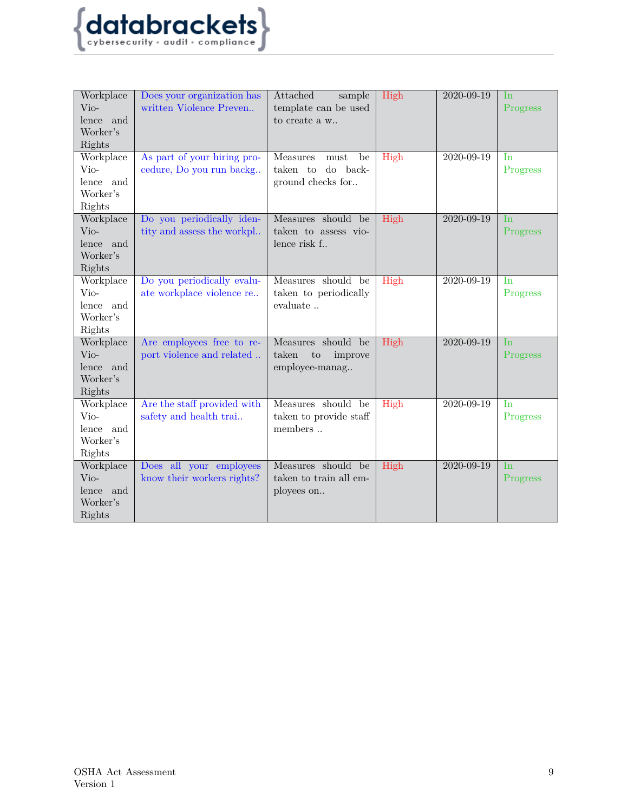

| Workplace<br>Vio- | Does your organization has<br>written Violence Preven | Attached<br>sample<br>template can be used | High | 2020-09-19 | In<br>Progress |
|-------------------|-------------------------------------------------------|--------------------------------------------|------|------------|----------------|
| lence and         |                                                       | to create a w                              |      |            |                |
| Worker's          |                                                       |                                            |      |            |                |
| Rights            |                                                       |                                            |      |            |                |
| Workplace         | As part of your hiring pro-                           | Measures<br>${\rm must}$<br>be             | High | 2020-09-19 | In             |
| Vio-              | cedure, Do you run backg                              | do back-<br>taken to                       |      |            | Progress       |
| lence and         |                                                       | ground checks for                          |      |            |                |
| Worker's          |                                                       |                                            |      |            |                |
| Rights            |                                                       |                                            |      |            |                |
| Workplace         | Do you periodically iden-                             | Measures should be                         | High | 2020-09-19 | <b>In</b>      |
| Vio-              | tity and assess the workpl                            | taken to assess vio-                       |      |            | Progress       |
| lence and         |                                                       | lence risk f                               |      |            |                |
| Worker's          |                                                       |                                            |      |            |                |
| Rights            |                                                       |                                            |      |            |                |
| Workplace         | Do you periodically evalu-                            | Measures should be                         | High | 2020-09-19 | <b>I</b> n     |
| Vio-              | ate workplace violence re                             | taken to periodically                      |      |            | Progress       |
| lence and         |                                                       | evaluate                                   |      |            |                |
| Worker's          |                                                       |                                            |      |            |                |
| Rights            |                                                       |                                            |      |            |                |
| Workplace         | Are employees free to re-                             | Measures should be                         | High | 2020-09-19 | <b>In</b>      |
| Vio-              | port violence and related                             | taken<br>$\rm{to}$<br>improve              |      |            | Progress       |
| lence and         |                                                       | employee-manag                             |      |            |                |
| Worker's          |                                                       |                                            |      |            |                |
| Rights            |                                                       |                                            |      |            |                |
| Workplace         | Are the staff provided with                           | Measures should be                         | High | 2020-09-19 | In             |
| Vio-              | safety and health trai                                | taken to provide staff                     |      |            | Progress       |
| lence and         |                                                       | members                                    |      |            |                |
| Worker's          |                                                       |                                            |      |            |                |
| Rights            |                                                       | Measures should be                         |      | 2020-09-19 | <b>In</b>      |
| Workplace         | Does all your employees                               |                                            | High |            |                |
| Vio-<br>lence and | know their workers rights?                            | taken to train all em-                     |      |            | Progress       |
| Worker's          |                                                       | ployees on                                 |      |            |                |
| Rights            |                                                       |                                            |      |            |                |
|                   |                                                       |                                            |      |            |                |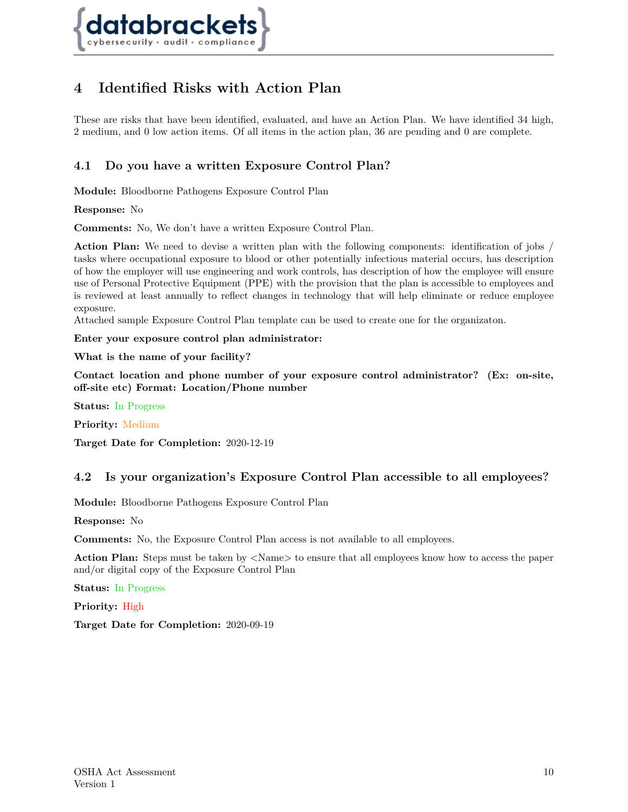

# <span id="page-9-0"></span>**4 Identified Risks with Action Plan**

These are risks that have been identified, evaluated, and have an Action Plan. We have identified 34 high, 2 medium, and 0 low action items. Of all items in the action plan, 36 are pending and 0 are complete.

## <span id="page-9-1"></span>**4.1 Do you have a written Exposure Control Plan?**

**Module:** Bloodborne Pathogens Exposure Control Plan

**Response:** No

**Comments:** No, We don't have a written Exposure Control Plan.

**Action Plan:** We need to devise a written plan with the following components: identification of jobs / tasks where occupational exposure to blood or other potentially infectious material occurs, has description of how the employer will use engineering and work controls, has description of how the employee will ensure use of Personal Protective Equipment (PPE) with the provision that the plan is accessible to employees and is reviewed at least annually to reflect changes in technology that will help eliminate or reduce employee exposure.

Attached sample Exposure Control Plan template can be used to create one for the organizaton.

**Enter your exposure control plan administrator:**

**What is the name of your facility?**

**Contact location and phone number of your exposure control administrator? (Ex: on-site, off-site etc) Format: Location/Phone number**

**Status:** In Progress

**Priority:** Medium

<span id="page-9-2"></span>**Target Date for Completion:** 2020-12-19

#### **4.2 Is your organization's Exposure Control Plan accessible to all employees?**

**Module:** Bloodborne Pathogens Exposure Control Plan

**Response:** No

**Comments:** No, the Exposure Control Plan access is not available to all employees.

Action Plan: Steps must be taken by  $\langle$ Name> to ensure that all employees know how to access the paper and/or digital copy of the Exposure Control Plan

**Status:** In Progress

<span id="page-9-3"></span>**Priority:** High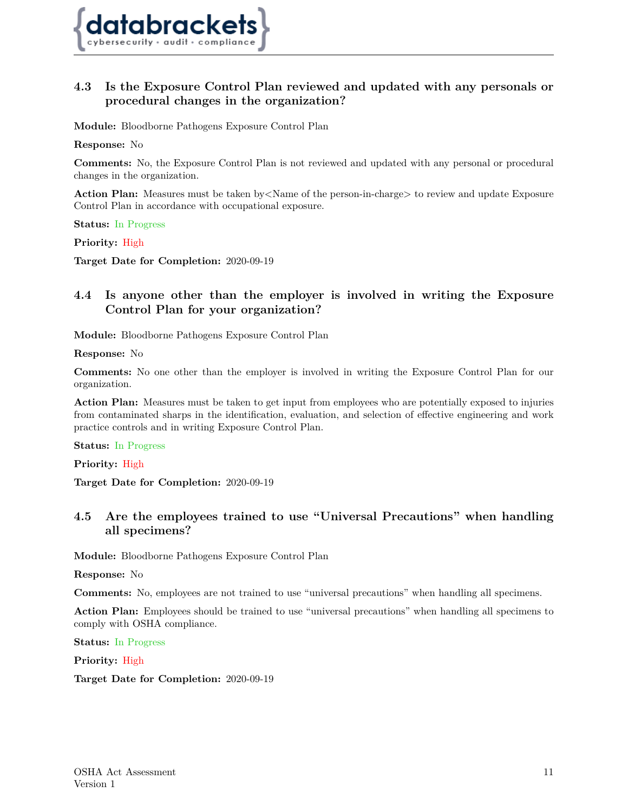

## **4.3 Is the Exposure Control Plan reviewed and updated with any personals or procedural changes in the organization?**

**Module:** Bloodborne Pathogens Exposure Control Plan

**Response:** No

**Comments:** No, the Exposure Control Plan is not reviewed and updated with any personal or procedural changes in the organization.

**Action Plan:** Measures must be taken by <Name of the person-in-charge to review and update Exposure Control Plan in accordance with occupational exposure.

**Status:** In Progress

**Priority:** High

<span id="page-10-0"></span>**Target Date for Completion:** 2020-09-19

## **4.4 Is anyone other than the employer is involved in writing the Exposure Control Plan for your organization?**

**Module:** Bloodborne Pathogens Exposure Control Plan

**Response:** No

**Comments:** No one other than the employer is involved in writing the Exposure Control Plan for our organization.

Action Plan: Measures must be taken to get input from employees who are potentially exposed to injuries from contaminated sharps in the identification, evaluation, and selection of effective engineering and work practice controls and in writing Exposure Control Plan.

**Status:** In Progress

**Priority:** High

<span id="page-10-1"></span>**Target Date for Completion:** 2020-09-19

## **4.5 Are the employees trained to use "Universal Precautions" when handling all specimens?**

**Module:** Bloodborne Pathogens Exposure Control Plan

**Response:** No

**Comments:** No, employees are not trained to use "universal precautions" when handling all specimens.

**Action Plan:** Employees should be trained to use "universal precautions" when handling all specimens to comply with OSHA compliance.

**Status:** In Progress

<span id="page-10-2"></span>**Priority:** High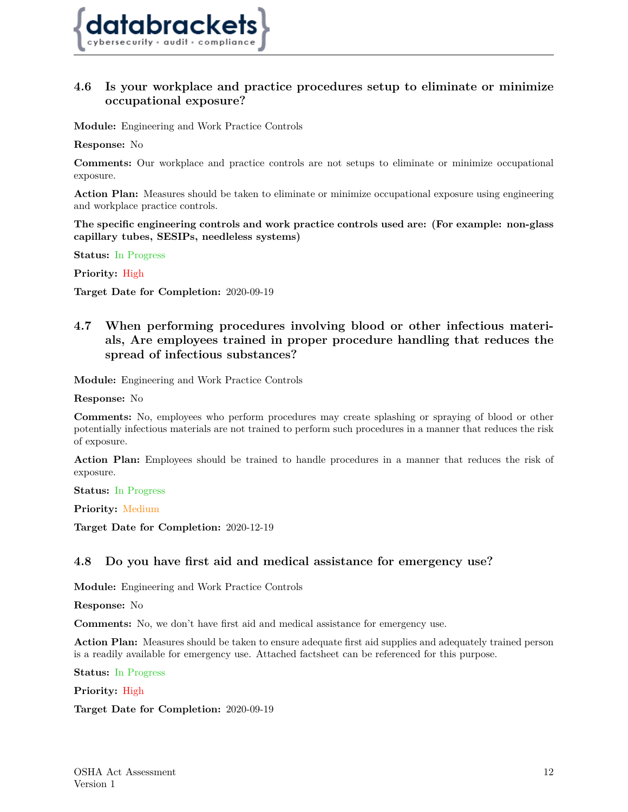

## **4.6 Is your workplace and practice procedures setup to eliminate or minimize occupational exposure?**

**Module:** Engineering and Work Practice Controls

**Response:** No

**Comments:** Our workplace and practice controls are not setups to eliminate or minimize occupational exposure.

**Action Plan:** Measures should be taken to eliminate or minimize occupational exposure using engineering and workplace practice controls.

**The specific engineering controls and work practice controls used are: (For example: non-glass capillary tubes, SESIPs, needleless systems)**

**Status:** In Progress

**Priority:** High

<span id="page-11-0"></span>**Target Date for Completion:** 2020-09-19

## **4.7 When performing procedures involving blood or other infectious materials, Are employees trained in proper procedure handling that reduces the spread of infectious substances?**

**Module:** Engineering and Work Practice Controls

**Response:** No

**Comments:** No, employees who perform procedures may create splashing or spraying of blood or other potentially infectious materials are not trained to perform such procedures in a manner that reduces the risk of exposure.

**Action Plan:** Employees should be trained to handle procedures in a manner that reduces the risk of exposure.

**Status:** In Progress

**Priority:** Medium

<span id="page-11-1"></span>**Target Date for Completion:** 2020-12-19

#### **4.8 Do you have first aid and medical assistance for emergency use?**

**Module:** Engineering and Work Practice Controls

**Response:** No

**Comments:** No, we don't have first aid and medical assistance for emergency use.

**Action Plan:** Measures should be taken to ensure adequate first aid supplies and adequately trained person is a readily available for emergency use. Attached factsheet can be referenced for this purpose.

**Status:** In Progress

<span id="page-11-2"></span>**Priority:** High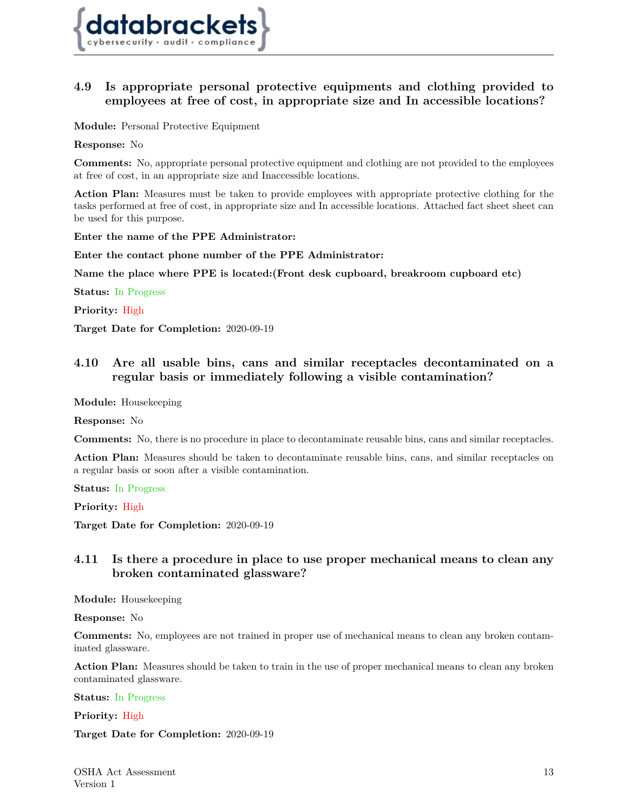

## **4.9 Is appropriate personal protective equipments and clothing provided to employees at free of cost, in appropriate size and In accessible locations?**

**Module:** Personal Protective Equipment

**Response:** No

**Comments:** No, appropriate personal protective equipment and clothing are not provided to the employees at free of cost, in an appropriate size and Inaccessible locations.

**Action Plan:** Measures must be taken to provide employees with appropriate protective clothing for the tasks performed at free of cost, in appropriate size and In accessible locations. Attached fact sheet sheet can be used for this purpose.

**Enter the name of the PPE Administrator:**

**Enter the contact phone number of the PPE Administrator:**

**Name the place where PPE is located:(Front desk cupboard, breakroom cupboard etc)**

**Status:** In Progress

**Priority:** High

<span id="page-12-0"></span>**Target Date for Completion:** 2020-09-19

## **4.10 Are all usable bins, cans and similar receptacles decontaminated on a regular basis or immediately following a visible contamination?**

**Module:** Housekeeping

**Response:** No

**Comments:** No, there is no procedure in place to decontaminate reusable bins, cans and similar receptacles.

**Action Plan:** Measures should be taken to decontaminate reusable bins, cans, and similar receptacles on a regular basis or soon after a visible contamination.

**Status:** In Progress

**Priority:** High

<span id="page-12-1"></span>**Target Date for Completion:** 2020-09-19

## **4.11 Is there a procedure in place to use proper mechanical means to clean any broken contaminated glassware?**

**Module:** Housekeeping

**Response:** No

**Comments:** No, employees are not trained in proper use of mechanical means to clean any broken contaminated glassware.

**Action Plan:** Measures should be taken to train in the use of proper mechanical means to clean any broken contaminated glassware.

**Status:** In Progress

<span id="page-12-2"></span>**Priority:** High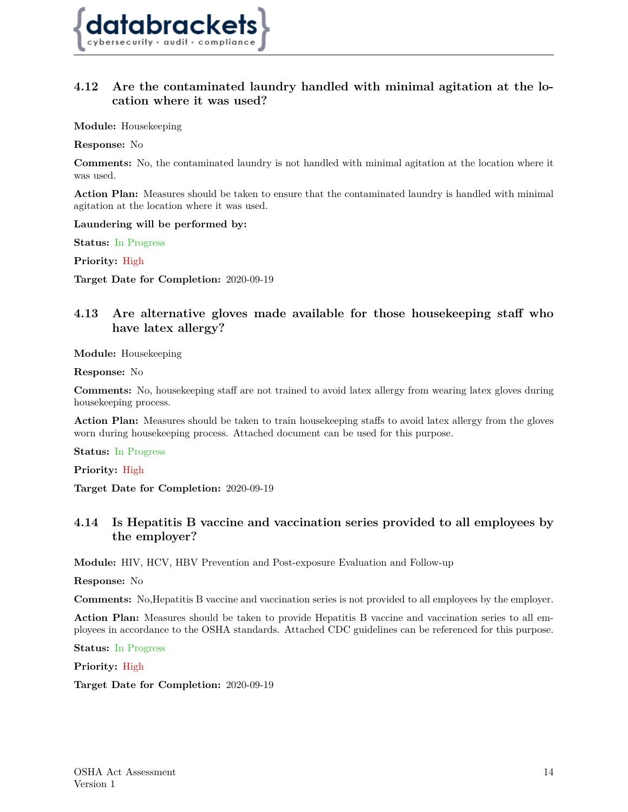

## **4.12 Are the contaminated laundry handled with minimal agitation at the location where it was used?**

**Module:** Housekeeping

**Response:** No

**Comments:** No, the contaminated laundry is not handled with minimal agitation at the location where it was used.

**Action Plan:** Measures should be taken to ensure that the contaminated laundry is handled with minimal agitation at the location where it was used.

**Laundering will be performed by:**

**Status:** In Progress

**Priority:** High

<span id="page-13-0"></span>**Target Date for Completion:** 2020-09-19

## **4.13 Are alternative gloves made available for those housekeeping staff who have latex allergy?**

**Module:** Housekeeping

**Response:** No

**Comments:** No, housekeeping staff are not trained to avoid latex allergy from wearing latex gloves during housekeeping process.

**Action Plan:** Measures should be taken to train housekeeping staffs to avoid latex allergy from the gloves worn during housekeeping process. Attached document can be used for this purpose.

**Status:** In Progress

**Priority:** High

<span id="page-13-1"></span>**Target Date for Completion:** 2020-09-19

## **4.14 Is Hepatitis B vaccine and vaccination series provided to all employees by the employer?**

**Module:** HIV, HCV, HBV Prevention and Post-exposure Evaluation and Follow-up

**Response:** No

**Comments:** No, Hepatitis B vaccine and vaccination series is not provided to all employees by the employer.

**Action Plan:** Measures should be taken to provide Hepatitis B vaccine and vaccination series to all employees in accordance to the OSHA standards. Attached CDC guidelines can be referenced for this purpose.

**Status:** In Progress

<span id="page-13-2"></span>**Priority:** High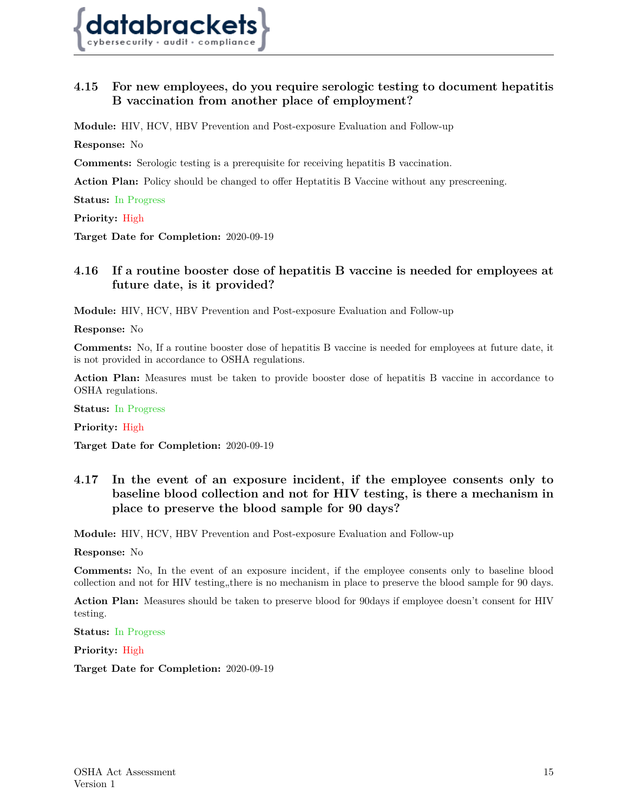

## **4.15 For new employees, do you require serologic testing to document hepatitis B vaccination from another place of employment?**

**Module:** HIV, HCV, HBV Prevention and Post-exposure Evaluation and Follow-up

**Response:** No

**Comments:** Serologic testing is a prerequisite for receiving hepatitis B vaccination.

**Action Plan:** Policy should be changed to offer Heptatitis B Vaccine without any prescreening.

**Status:** In Progress

**Priority:** High

<span id="page-14-0"></span>**Target Date for Completion:** 2020-09-19

## **4.16 If a routine booster dose of hepatitis B vaccine is needed for employees at future date, is it provided?**

**Module:** HIV, HCV, HBV Prevention and Post-exposure Evaluation and Follow-up

**Response:** No

**Comments:** No, If a routine booster dose of hepatitis B vaccine is needed for employees at future date, it is not provided in accordance to OSHA regulations.

**Action Plan:** Measures must be taken to provide booster dose of hepatitis B vaccine in accordance to OSHA regulations.

**Status:** In Progress

**Priority:** High

<span id="page-14-1"></span>**Target Date for Completion:** 2020-09-19

## **4.17 In the event of an exposure incident, if the employee consents only to baseline blood collection and not for HIV testing, is there a mechanism in place to preserve the blood sample for 90 days?**

**Module:** HIV, HCV, HBV Prevention and Post-exposure Evaluation and Follow-up

**Response:** No

**Comments:** No, In the event of an exposure incident, if the employee consents only to baseline blood collection and not for HIV testing, there is no mechanism in place to preserve the blood sample for 90 days.

**Action Plan:** Measures should be taken to preserve blood for 90days if employee doesn't consent for HIV testing.

**Status:** In Progress

<span id="page-14-2"></span>**Priority:** High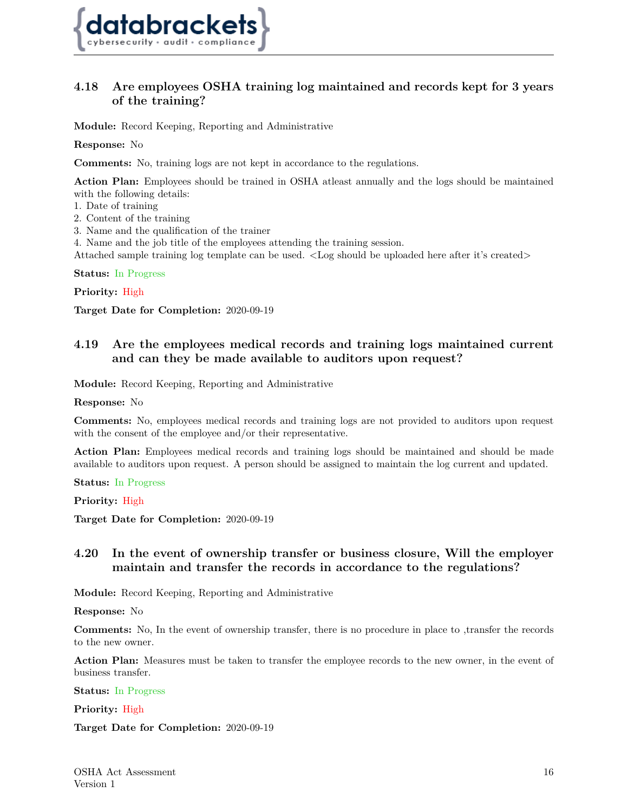

## **4.18 Are employees OSHA training log maintained and records kept for 3 years of the training?**

**Module:** Record Keeping, Reporting and Administrative

**Response:** No

**Comments:** No, training logs are not kept in accordance to the regulations.

**Action Plan:** Employees should be trained in OSHA atleast annually and the logs should be maintained with the following details:

- 1. Date of training
- 2. Content of the training
- 3. Name and the qualification of the trainer

4. Name and the job title of the employees attending the training session.

Attached sample training log template can be used. <Log should be uploaded here after it's created>

**Status:** In Progress

**Priority:** High

<span id="page-15-0"></span>**Target Date for Completion:** 2020-09-19

## **4.19 Are the employees medical records and training logs maintained current and can they be made available to auditors upon request?**

**Module:** Record Keeping, Reporting and Administrative

**Response:** No

**Comments:** No, employees medical records and training logs are not provided to auditors upon request with the consent of the employee and/or their representative.

**Action Plan:** Employees medical records and training logs should be maintained and should be made available to auditors upon request. A person should be assigned to maintain the log current and updated.

**Status:** In Progress

**Priority:** High

<span id="page-15-1"></span>**Target Date for Completion:** 2020-09-19

## **4.20 In the event of ownership transfer or business closure, Will the employer maintain and transfer the records in accordance to the regulations?**

**Module:** Record Keeping, Reporting and Administrative

**Response:** No

**Comments:** No, In the event of ownership transfer, there is no procedure in place to ,transfer the records to the new owner.

**Action Plan:** Measures must be taken to transfer the employee records to the new owner, in the event of business transfer.

**Status:** In Progress

<span id="page-15-2"></span>**Priority:** High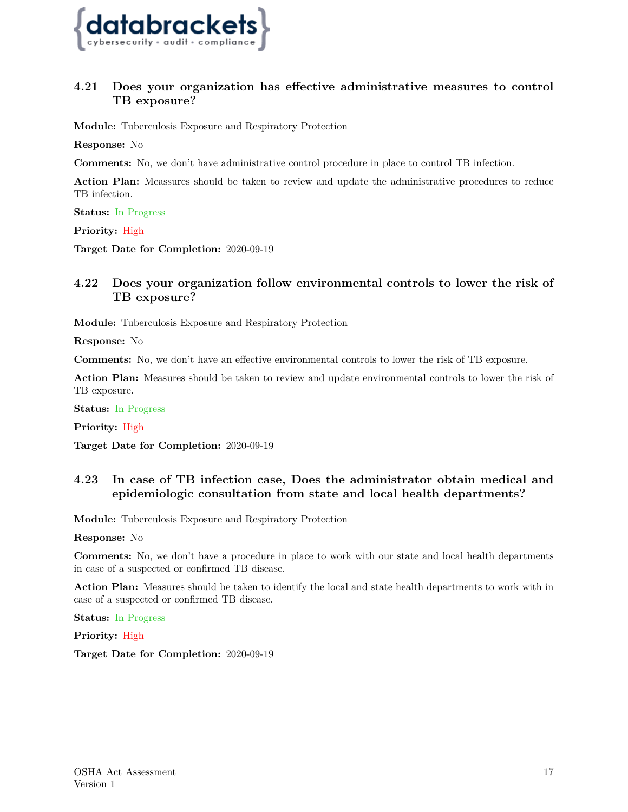

## **4.21 Does your organization has effective administrative measures to control TB exposure?**

**Module:** Tuberculosis Exposure and Respiratory Protection

**Response:** No

**Comments:** No, we don't have administrative control procedure in place to control TB infection.

**Action Plan:** Meassures should be taken to review and update the administrative procedures to reduce TB infection.

**Status:** In Progress

**Priority:** High

<span id="page-16-0"></span>**Target Date for Completion:** 2020-09-19

## **4.22 Does your organization follow environmental controls to lower the risk of TB exposure?**

**Module:** Tuberculosis Exposure and Respiratory Protection

**Response:** No

**Comments:** No, we don't have an effective environmental controls to lower the risk of TB exposure.

**Action Plan:** Measures should be taken to review and update environmental controls to lower the risk of TB exposure.

**Status:** In Progress

**Priority:** High

<span id="page-16-1"></span>**Target Date for Completion:** 2020-09-19

## **4.23 In case of TB infection case, Does the administrator obtain medical and epidemiologic consultation from state and local health departments?**

**Module:** Tuberculosis Exposure and Respiratory Protection

**Response:** No

**Comments:** No, we don't have a procedure in place to work with our state and local health departments in case of a suspected or confirmed TB disease.

**Action Plan:** Measures should be taken to identify the local and state health departments to work with in case of a suspected or confirmed TB disease.

**Status:** In Progress

<span id="page-16-2"></span>**Priority:** High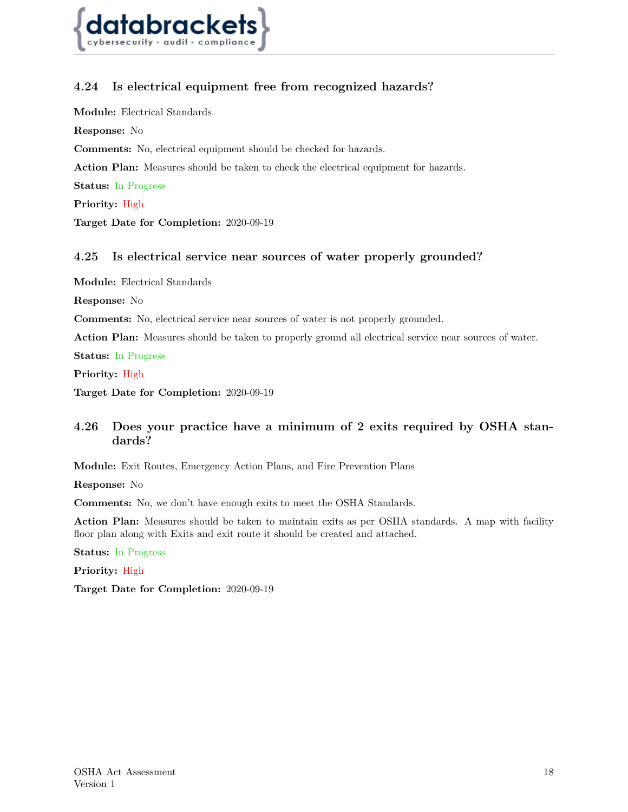

## **4.24 Is electrical equipment free from recognized hazards?**

**Module:** Electrical Standards

**Response:** No

**Comments:** No, electrical equipment should be checked for hazards.

**Action Plan:** Measures should be taken to check the electrical equipment for hazards.

**Status:** In Progress

**Priority:** High

<span id="page-17-0"></span>**Target Date for Completion:** 2020-09-19

#### **4.25 Is electrical service near sources of water properly grounded?**

**Module:** Electrical Standards

**Response:** No

**Comments:** No, electrical service near sources of water is not properly grounded.

**Action Plan:** Measures should be taken to properly ground all electrical service near sources of water.

**Status:** In Progress

**Priority:** High

<span id="page-17-1"></span>**Target Date for Completion:** 2020-09-19

## **4.26 Does your practice have a minimum of 2 exits required by OSHA standards?**

**Module:** Exit Routes, Emergency Action Plans, and Fire Prevention Plans

**Response:** No

**Comments:** No, we don't have enough exits to meet the OSHA Standards.

**Action Plan:** Measures should be taken to maintain exits as per OSHA standards. A map with facility floor plan along with Exits and exit route it should be created and attached.

**Status:** In Progress

<span id="page-17-2"></span>**Priority:** High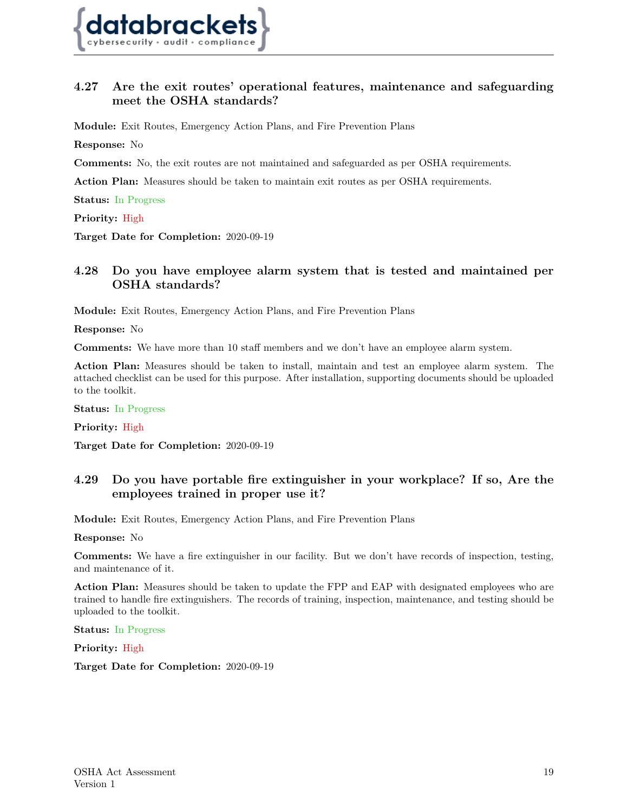

## **4.27 Are the exit routes' operational features, maintenance and safeguarding meet the OSHA standards?**

**Module:** Exit Routes, Emergency Action Plans, and Fire Prevention Plans

**Response:** No

**Comments:** No, the exit routes are not maintained and safeguarded as per OSHA requirements.

**Action Plan:** Measures should be taken to maintain exit routes as per OSHA requirements.

**Status:** In Progress

**Priority:** High

<span id="page-18-0"></span>**Target Date for Completion:** 2020-09-19

## **4.28 Do you have employee alarm system that is tested and maintained per OSHA standards?**

**Module:** Exit Routes, Emergency Action Plans, and Fire Prevention Plans

**Response:** No

**Comments:** We have more than 10 staff members and we don't have an employee alarm system.

**Action Plan:** Measures should be taken to install, maintain and test an employee alarm system. The attached checklist can be used for this purpose. After installation, supporting documents should be uploaded to the toolkit.

**Status:** In Progress

**Priority:** High

<span id="page-18-1"></span>**Target Date for Completion:** 2020-09-19

## **4.29 Do you have portable fire extinguisher in your workplace? If so, Are the employees trained in proper use it?**

**Module:** Exit Routes, Emergency Action Plans, and Fire Prevention Plans

**Response:** No

**Comments:** We have a fire extinguisher in our facility. But we don't have records of inspection, testing, and maintenance of it.

**Action Plan:** Measures should be taken to update the FPP and EAP with designated employees who are trained to handle fire extinguishers. The records of training, inspection, maintenance, and testing should be uploaded to the toolkit.

#### **Status:** In Progress

<span id="page-18-2"></span>**Priority:** High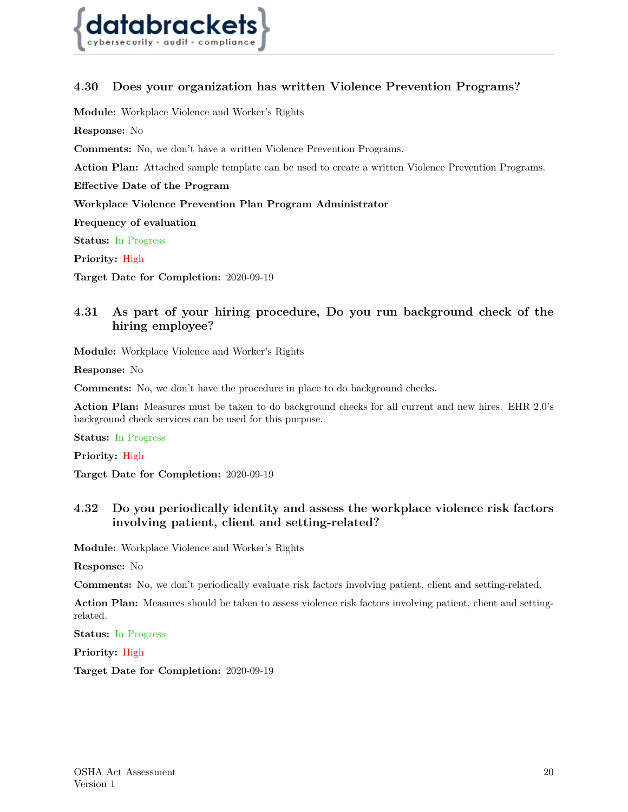

## **4.30 Does your organization has written Violence Prevention Programs?**

**Module:** Workplace Violence and Worker's Rights

**Response:** No

**Comments:** No, we don't have a written Violence Prevention Programs.

**Action Plan:** Attached sample template can be used to create a written Violence Prevention Programs.

**Effective Date of the Program**

**Workplace Violence Prevention Plan Program Administrator**

**Frequency of evaluation**

**Status:** In Progress

**Priority:** High

<span id="page-19-0"></span>**Target Date for Completion:** 2020-09-19

## **4.31 As part of your hiring procedure, Do you run background check of the hiring employee?**

**Module:** Workplace Violence and Worker's Rights

**Response:** No

**Comments:** No, we don't have the procedure in place to do background checks.

**Action Plan:** Measures must be taken to do background checks for all current and new hires. EHR 2.0's background check services can be used for this purpose.

**Status:** In Progress

**Priority:** High

<span id="page-19-1"></span>**Target Date for Completion:** 2020-09-19

## **4.32 Do you periodically identity and assess the workplace violence risk factors involving patient, client and setting-related?**

**Module:** Workplace Violence and Worker's Rights

**Response:** No

**Comments:** No, we don't periodically evaluate risk factors involving patient, client and setting-related.

**Action Plan:** Measures should be taken to assess violence risk factors involving patient, client and settingrelated.

**Status:** In Progress

<span id="page-19-2"></span>**Priority:** High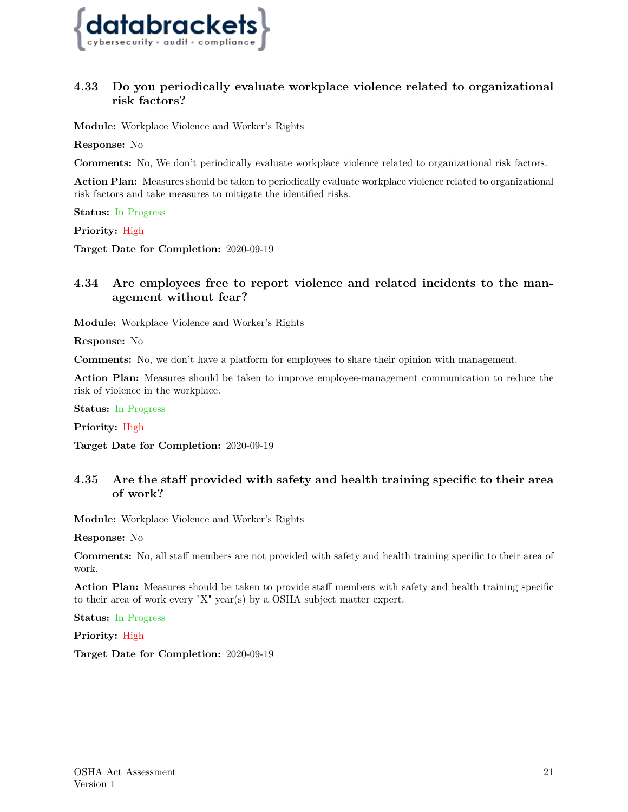

## **4.33 Do you periodically evaluate workplace violence related to organizational risk factors?**

**Module:** Workplace Violence and Worker's Rights

**Response:** No

**Comments:** No, We don't periodically evaluate workplace violence related to organizational risk factors.

**Action Plan:** Measures should be taken to periodically evaluate workplace violence related to organizational risk factors and take measures to mitigate the identified risks.

**Status:** In Progress

**Priority:** High

<span id="page-20-0"></span>**Target Date for Completion:** 2020-09-19

## **4.34 Are employees free to report violence and related incidents to the management without fear?**

**Module:** Workplace Violence and Worker's Rights

**Response:** No

**Comments:** No, we don't have a platform for employees to share their opinion with management.

**Action Plan:** Measures should be taken to improve employee-management communication to reduce the risk of violence in the workplace.

**Status:** In Progress

**Priority:** High

<span id="page-20-1"></span>**Target Date for Completion:** 2020-09-19

## **4.35 Are the staff provided with safety and health training specific to their area of work?**

**Module:** Workplace Violence and Worker's Rights

**Response:** No

**Comments:** No, all staff members are not provided with safety and health training specific to their area of work.

**Action Plan:** Measures should be taken to provide staff members with safety and health training specific to their area of work every "X" year(s) by a OSHA subject matter expert.

**Status:** In Progress

<span id="page-20-2"></span>**Priority:** High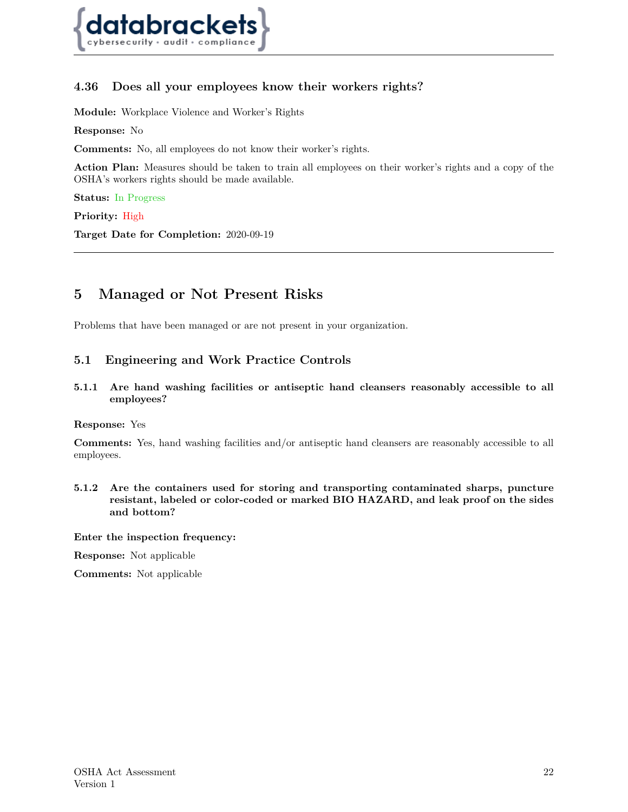

## **4.36 Does all your employees know their workers rights?**

**Module:** Workplace Violence and Worker's Rights

**Response:** No

**Comments:** No, all employees do not know their worker's rights.

**Action Plan:** Measures should be taken to train all employees on their worker's rights and a copy of the OSHA's workers rights should be made available.

**Status:** In Progress

**Priority:** High

**Target Date for Completion:** 2020-09-19

## <span id="page-21-0"></span>**5 Managed or Not Present Risks**

<span id="page-21-1"></span>Problems that have been managed or are not present in your organization.

#### **5.1 Engineering and Work Practice Controls**

**5.1.1 Are hand washing facilities or antiseptic hand cleansers reasonably accessible to all employees?**

#### **Response:** Yes

**Comments:** Yes, hand washing facilities and/or antiseptic hand cleansers are reasonably accessible to all employees.

**5.1.2 Are the containers used for storing and transporting contaminated sharps, puncture resistant, labeled or color-coded or marked BIO HAZARD, and leak proof on the sides and bottom?**

**Enter the inspection frequency:**

**Response:** Not applicable

<span id="page-21-2"></span>**Comments:** Not applicable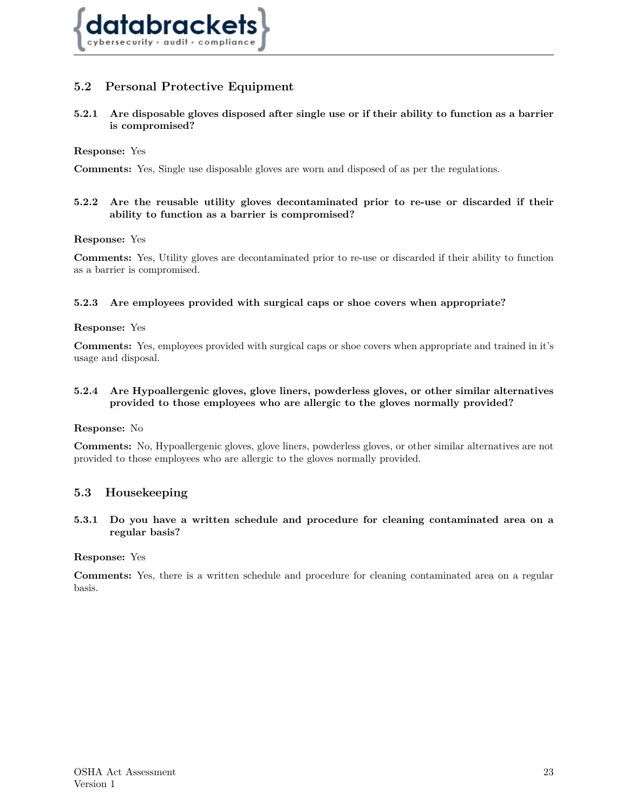

## **5.2 Personal Protective Equipment**

**5.2.1 Are disposable gloves disposed after single use or if their ability to function as a barrier is compromised?**

#### **Response:** Yes

**Comments:** Yes, Single use disposable gloves are worn and disposed of as per the regulations.

#### **5.2.2 Are the reusable utility gloves decontaminated prior to re-use or discarded if their ability to function as a barrier is compromised?**

#### **Response:** Yes

**Comments:** Yes, Utility gloves are decontaminated prior to re-use or discarded if their ability to function as a barrier is compromised.

#### **5.2.3 Are employees provided with surgical caps or shoe covers when appropriate?**

#### **Response:** Yes

**Comments:** Yes, employees provided with surgical caps or shoe covers when appropriate and trained in it's usage and disposal.

#### **5.2.4 Are Hypoallergenic gloves, glove liners, powderless gloves, or other similar alternatives provided to those employees who are allergic to the gloves normally provided?**

#### **Response:** No

<span id="page-22-0"></span>**Comments:** No, Hypoallergenic gloves, glove liners, powderless gloves, or other similar alternatives are not provided to those employees who are allergic to the gloves normally provided.

#### **5.3 Housekeeping**

**5.3.1 Do you have a written schedule and procedure for cleaning contaminated area on a regular basis?**

#### **Response:** Yes

**Comments:** Yes, there is a written schedule and procedure for cleaning contaminated area on a regular basis.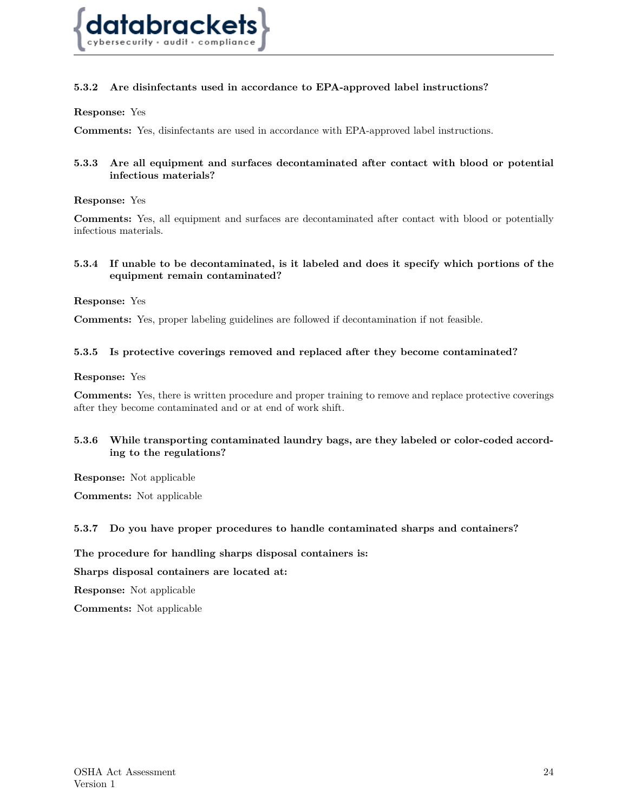

#### **5.3.2 Are disinfectants used in accordance to EPA-approved label instructions?**

**Response:** Yes

**Comments:** Yes, disinfectants are used in accordance with EPA-approved label instructions.

#### **5.3.3 Are all equipment and surfaces decontaminated after contact with blood or potential infectious materials?**

#### **Response:** Yes

**Comments:** Yes, all equipment and surfaces are decontaminated after contact with blood or potentially infectious materials.

#### **5.3.4 If unable to be decontaminated, is it labeled and does it specify which portions of the equipment remain contaminated?**

#### **Response:** Yes

**Comments:** Yes, proper labeling guidelines are followed if decontamination if not feasible.

#### **5.3.5 Is protective coverings removed and replaced after they become contaminated?**

#### **Response:** Yes

**Comments:** Yes, there is written procedure and proper training to remove and replace protective coverings after they become contaminated and or at end of work shift.

#### **5.3.6 While transporting contaminated laundry bags, are they labeled or color-coded according to the regulations?**

**Response:** Not applicable

**Comments:** Not applicable

#### **5.3.7 Do you have proper procedures to handle contaminated sharps and containers?**

**The procedure for handling sharps disposal containers is:**

**Sharps disposal containers are located at:**

**Response:** Not applicable

**Comments:** Not applicable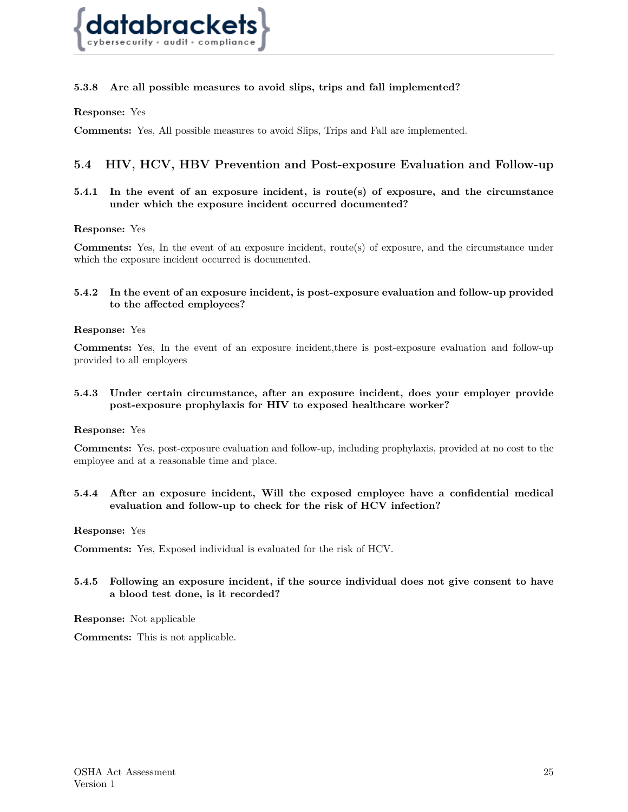

#### **5.3.8 Are all possible measures to avoid slips, trips and fall implemented?**

#### **Response:** Yes

<span id="page-24-0"></span>**Comments:** Yes, All possible measures to avoid Slips, Trips and Fall are implemented.

## **5.4 HIV, HCV, HBV Prevention and Post-exposure Evaluation and Follow-up**

#### **5.4.1 In the event of an exposure incident, is route(s) of exposure, and the circumstance under which the exposure incident occurred documented?**

#### **Response:** Yes

**Comments:** Yes, In the event of an exposure incident, route(s) of exposure, and the circumstance under which the exposure incident occurred is documented.

#### **5.4.2 In the event of an exposure incident, is post-exposure evaluation and follow-up provided to the affected employees?**

#### **Response:** Yes

**Comments:** Yes, In the event of an exposure incident,there is post-exposure evaluation and follow-up provided to all employees

#### **5.4.3 Under certain circumstance, after an exposure incident, does your employer provide post-exposure prophylaxis for HIV to exposed healthcare worker?**

#### **Response:** Yes

**Comments:** Yes, post-exposure evaluation and follow-up, including prophylaxis, provided at no cost to the employee and at a reasonable time and place.

#### **5.4.4 After an exposure incident, Will the exposed employee have a confidential medical evaluation and follow-up to check for the risk of HCV infection?**

#### **Response:** Yes

**Comments:** Yes, Exposed individual is evaluated for the risk of HCV.

#### **5.4.5 Following an exposure incident, if the source individual does not give consent to have a blood test done, is it recorded?**

**Response:** Not applicable

<span id="page-24-1"></span>**Comments:** This is not applicable.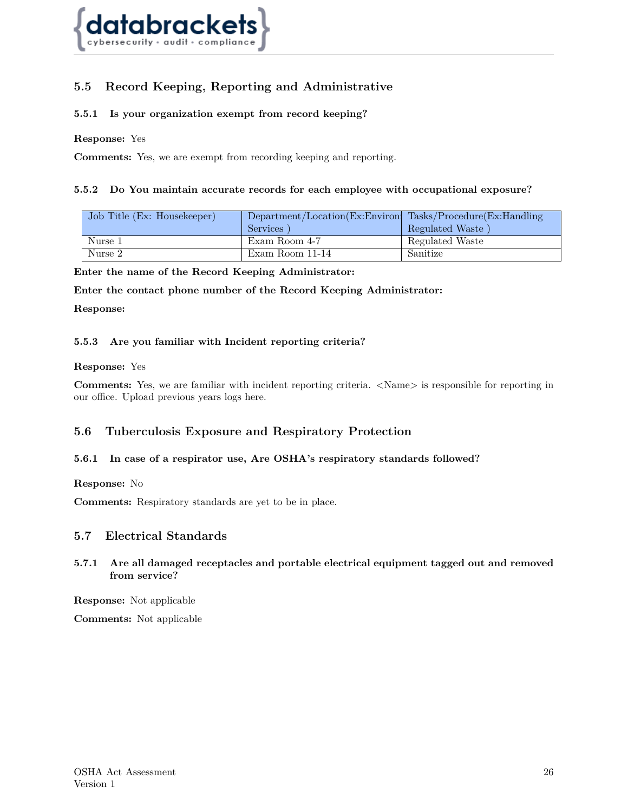

## **5.5 Record Keeping, Reporting and Administrative**

#### **5.5.1 Is your organization exempt from record keeping?**

**Response:** Yes

**Comments:** Yes, we are exempt from recording keeping and reporting.

#### **5.5.2 Do You maintain accurate records for each employee with occupational exposure?**

| Job Title (Ex: Housekeeper) | Department/Location(Ex:Environ) Tasks/Procedure(Ex:Handling<br>Services | Regulated Waste |
|-----------------------------|-------------------------------------------------------------------------|-----------------|
| Nurse 1                     | Exam Room 4-7                                                           | Regulated Waste |
| Nurse 2                     | Exam Room 11-14                                                         | Sanitize        |

**Enter the name of the Record Keeping Administrator:**

**Enter the contact phone number of the Record Keeping Administrator:**

**Response:**

#### **5.5.3 Are you familiar with Incident reporting criteria?**

#### **Response:** Yes

<span id="page-25-0"></span>**Comments:** Yes, we are familiar with incident reporting criteria.  $\langle Name \rangle$  is responsible for reporting in our office. Upload previous years logs here.

#### **5.6 Tuberculosis Exposure and Respiratory Protection**

#### **5.6.1 In case of a respirator use, Are OSHA's respiratory standards followed?**

**Response:** No

<span id="page-25-1"></span>**Comments:** Respiratory standards are yet to be in place.

#### **5.7 Electrical Standards**

#### **5.7.1 Are all damaged receptacles and portable electrical equipment tagged out and removed from service?**

**Response:** Not applicable

**Comments:** Not applicable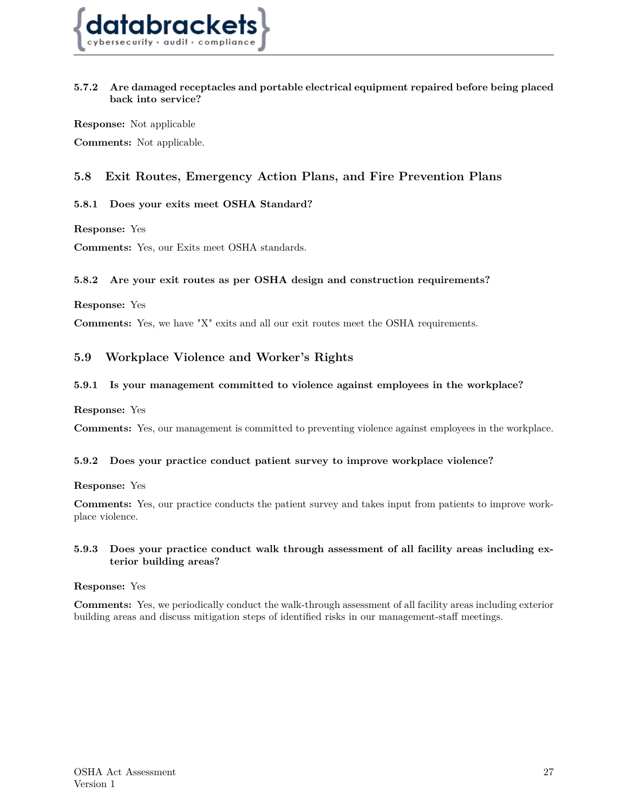

#### **5.7.2 Are damaged receptacles and portable electrical equipment repaired before being placed back into service?**

**Response:** Not applicable **Comments:** Not applicable.

## <span id="page-26-0"></span>**5.8 Exit Routes, Emergency Action Plans, and Fire Prevention Plans**

#### **5.8.1 Does your exits meet OSHA Standard?**

**Response:** Yes

**Comments:** Yes, our Exits meet OSHA standards.

#### **5.8.2 Are your exit routes as per OSHA design and construction requirements?**

**Response:** Yes

<span id="page-26-1"></span>**Comments:** Yes, we have "X" exits and all our exit routes meet the OSHA requirements.

## **5.9 Workplace Violence and Worker's Rights**

#### **5.9.1 Is your management committed to violence against employees in the workplace?**

**Response:** Yes

**Comments:** Yes, our management is committed to preventing violence against employees in the workplace.

#### **5.9.2 Does your practice conduct patient survey to improve workplace violence?**

**Response:** Yes

**Comments:** Yes, our practice conducts the patient survey and takes input from patients to improve workplace violence.

#### **5.9.3 Does your practice conduct walk through assessment of all facility areas including exterior building areas?**

#### **Response:** Yes

<span id="page-26-2"></span>**Comments:** Yes, we periodically conduct the walk-through assessment of all facility areas including exterior building areas and discuss mitigation steps of identified risks in our management-staff meetings.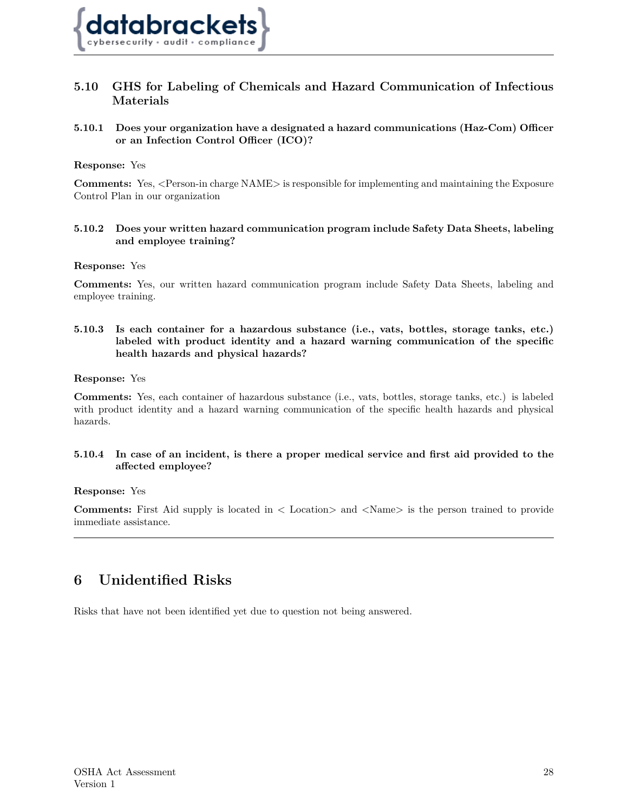

## **5.10 GHS for Labeling of Chemicals and Hazard Communication of Infectious Materials**

#### **5.10.1 Does your organization have a designated a hazard communications (Haz-Com) Officer or an Infection Control Officer (ICO)?**

#### **Response:** Yes

**Comments:** Yes, <Person-in charge NAME> is responsible for implementing and maintaining the Exposure Control Plan in our organization

#### **5.10.2 Does your written hazard communication program include Safety Data Sheets, labeling and employee training?**

#### **Response:** Yes

**Comments:** Yes, our written hazard communication program include Safety Data Sheets, labeling and employee training.

#### **5.10.3 Is each container for a hazardous substance (i.e., vats, bottles, storage tanks, etc.) labeled with product identity and a hazard warning communication of the specific health hazards and physical hazards?**

#### **Response:** Yes

**Comments:** Yes, each container of hazardous substance (i.e., vats, bottles, storage tanks, etc.) is labeled with product identity and a hazard warning communication of the specific health hazards and physical hazards.

#### **5.10.4 In case of an incident, is there a proper medical service and first aid provided to the affected employee?**

#### **Response:** Yes

**Comments:** First Aid supply is located in  $\lt$  Location and  $\lt$ Name is the person trained to provide immediate assistance.

## <span id="page-27-0"></span>**6 Unidentified Risks**

<span id="page-27-1"></span>Risks that have not been identified yet due to question not being answered.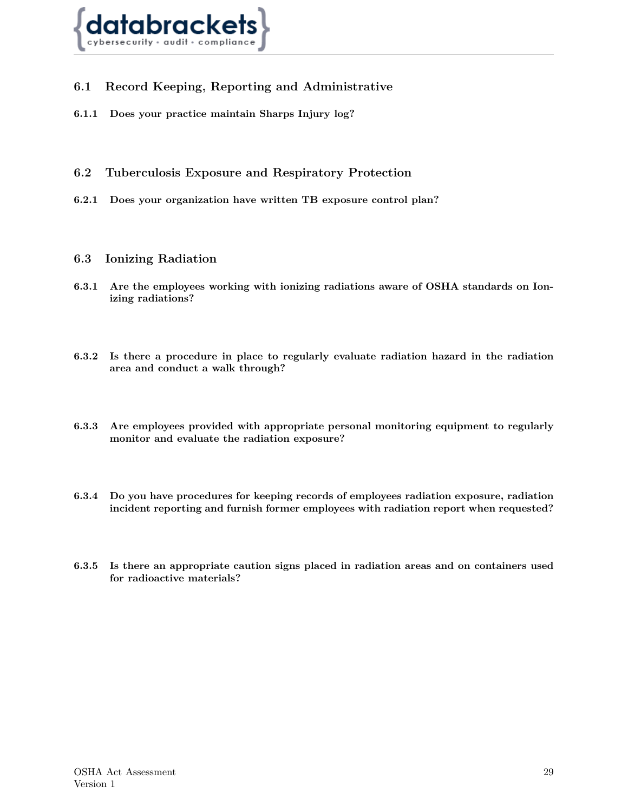

## **6.1 Record Keeping, Reporting and Administrative**

- **6.1.1 Does your practice maintain Sharps Injury log?**
- <span id="page-28-0"></span>**6.2 Tuberculosis Exposure and Respiratory Protection**
- **6.2.1 Does your organization have written TB exposure control plan?**
- <span id="page-28-1"></span>**6.3 Ionizing Radiation**
- **6.3.1 Are the employees working with ionizing radiations aware of OSHA standards on Ionizing radiations?**
- **6.3.2 Is there a procedure in place to regularly evaluate radiation hazard in the radiation area and conduct a walk through?**
- **6.3.3 Are employees provided with appropriate personal monitoring equipment to regularly monitor and evaluate the radiation exposure?**
- **6.3.4 Do you have procedures for keeping records of employees radiation exposure, radiation incident reporting and furnish former employees with radiation report when requested?**
- **6.3.5 Is there an appropriate caution signs placed in radiation areas and on containers used for radioactive materials?**